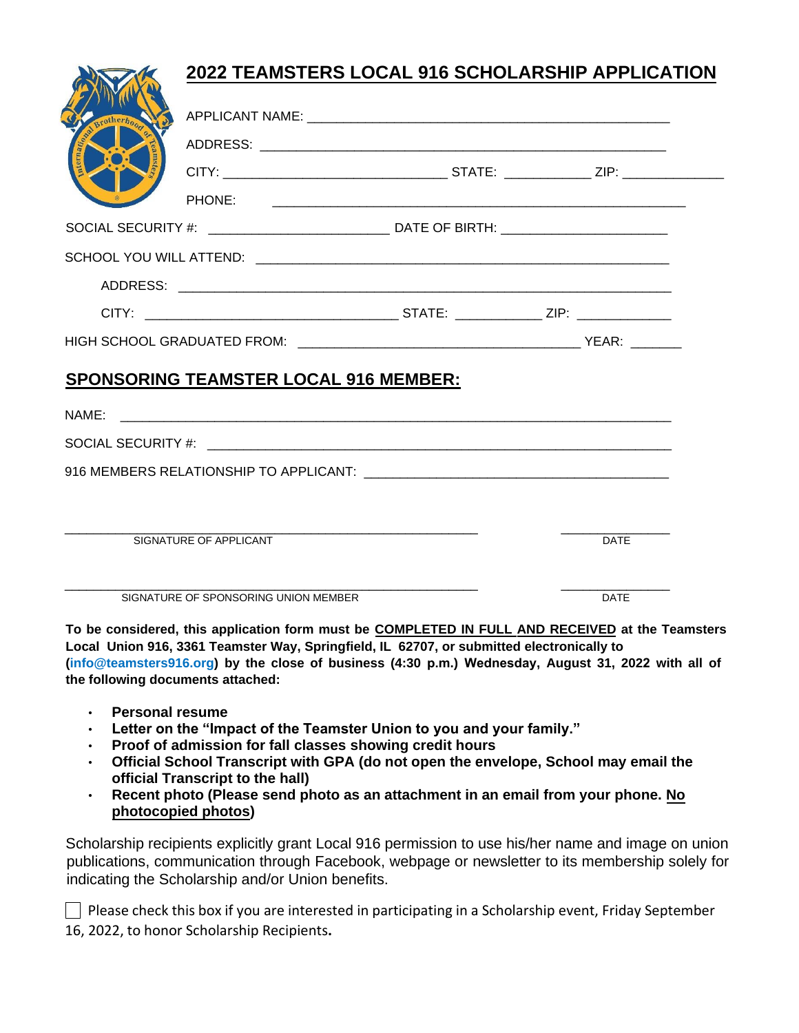# **2022 TEAMSTERS LOCAL 916 SCHOLARSHIP APPLICATION** APPLICANT NAME: **We are all that the set of the set of the set of the set of the set of the set of the set of the set of the set of the set of the set of the set of the set of the set of the set of the set of the set of th** ADDRESS: \_\_\_\_\_\_\_\_\_\_\_\_\_\_\_\_\_\_\_\_\_\_\_\_\_\_\_\_\_\_\_\_\_\_\_\_\_\_\_\_\_\_\_\_\_\_\_\_\_\_\_\_\_\_\_\_ CITY: \_\_\_\_\_\_\_\_\_\_\_\_\_\_\_\_\_\_\_\_\_\_\_\_\_\_\_\_\_\_\_ STATE: \_\_\_\_\_\_\_\_\_\_\_\_ ZIP: \_\_\_\_\_\_\_\_\_\_\_\_\_\_ PHONE: \_\_\_\_\_\_\_\_\_\_\_\_\_\_\_\_\_\_\_\_\_\_\_\_\_\_\_\_\_\_\_\_\_\_\_\_\_\_\_\_\_\_\_\_\_\_\_\_\_\_\_\_\_\_\_\_\_ SOCIAL SECURITY #: \_\_\_\_\_\_\_\_\_\_\_\_\_\_\_\_\_\_\_\_\_\_\_\_\_\_\_\_\_\_\_ DATE OF BIRTH: \_\_\_\_\_\_\_\_\_\_\_\_\_\_\_ SCHOOL YOU WILL ATTEND: \_\_\_\_\_\_\_\_\_\_\_\_\_\_\_\_\_\_\_\_\_\_\_\_\_\_\_\_\_\_\_\_\_\_\_\_\_\_\_\_\_\_\_\_\_\_\_\_\_\_\_\_\_\_\_\_\_ ADDRESS: \_\_\_\_\_\_\_\_\_\_\_\_\_\_\_\_\_\_\_\_\_\_\_\_\_\_\_\_\_\_\_\_\_\_\_\_\_\_\_\_\_\_\_\_\_\_\_\_\_\_\_\_\_\_\_\_\_\_\_\_\_\_\_\_\_\_\_\_ CITY: \_\_\_\_\_\_\_\_\_\_\_\_\_\_\_\_\_\_\_\_\_\_\_\_\_\_\_\_\_\_\_\_\_\_\_ STATE: \_\_\_\_\_\_\_\_\_\_\_\_ ZIP: \_\_\_\_\_\_\_\_\_\_\_\_\_ HIGH SCHOOL GRADUATED FROM: \_\_\_\_\_\_\_\_\_\_\_\_\_\_\_\_\_\_\_\_\_\_\_\_\_\_\_\_\_\_\_\_\_\_\_\_\_\_\_ YEAR: \_\_\_\_\_\_\_ **SPONSORING TEAMSTER LOCAL 916 MEMBER:**  $NAME:$ SOCIAL SECURITY #: 916 MEMBERS RELATIONSHIP TO APPLICANT:  $\overline{\phantom{a}}$ \_\_\_\_\_\_\_\_\_\_\_\_\_\_\_\_\_\_\_\_\_\_\_\_\_\_\_\_\_\_\_\_\_\_\_\_\_\_\_\_\_\_\_\_\_\_\_\_\_\_\_\_\_\_\_\_\_ \_\_\_\_\_\_\_\_\_\_\_\_\_\_\_ SIGNATURE OF APPLICANT **DATE** \_\_\_\_\_\_\_\_\_\_\_\_\_\_\_\_\_\_\_\_\_\_\_\_\_\_\_\_\_\_\_\_\_\_\_\_\_\_\_\_\_\_\_\_\_\_\_\_\_\_\_\_\_\_\_\_\_ \_\_\_\_\_\_\_\_\_\_\_\_\_\_\_ SIGNATURE OF SPONSORING UNION MEMBER

**To be considered, this application form must be COMPLETED IN FULL AND RECEIVED at the Teamsters Local Union 916, 3361 Teamster Way, Springfield, IL 62707, or submitted electronically to (info@teamsters916.org) by the close of business (4:30 p.m.) Wednesday, August 31, 2022 with all of the following documents attached:** 

- **Personal resume**
- **Letter on the "Impact of the Teamster Union to you and your family."**
- **Proof of admission for fall classes showing credit hours**
- **Official School Transcript with GPA (do not open the envelope, School may email the official Transcript to the hall)**
- **Recent photo (Please send photo as an attachment in an email from your phone. No photocopied photos)**

Scholarship recipients explicitly grant Local 916 permission to use his/her name and image on union publications, communication through Facebook, webpage or newsletter to its membership solely for indicating the Scholarship and/or Union benefits.

Please check this box if you are interested in participating in a Scholarship event, Friday September 16, 2022, to honor Scholarship Recipients**.**